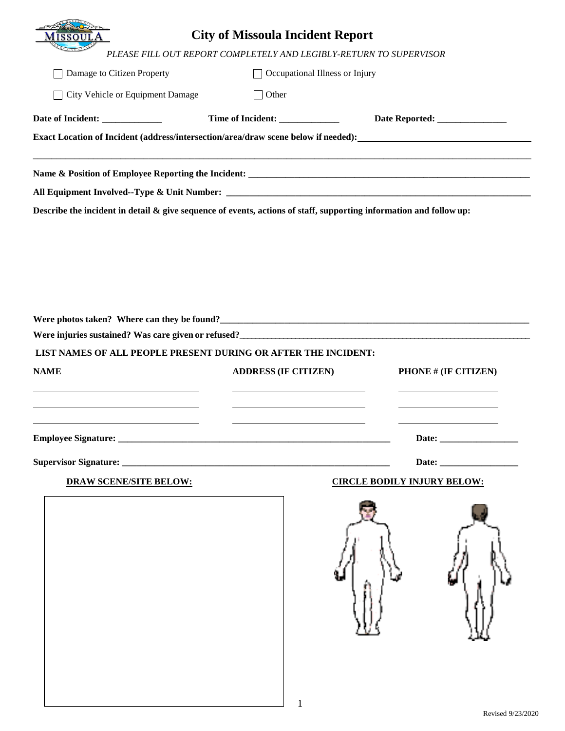|                                                                                    | <b>City of Missoula Incident Report</b> |                                                                    |                                |
|------------------------------------------------------------------------------------|-----------------------------------------|--------------------------------------------------------------------|--------------------------------|
|                                                                                    |                                         | PLEASE FILL OUT REPORT COMPLETELY AND LEGIBLY-RETURN TO SUPERVISOR |                                |
| Damage to Citizen Property                                                         | $\mathbf{I}$                            | Occupational Illness or Injury                                     |                                |
| City Vehicle or Equipment Damage                                                   | $\Box$ Other                            |                                                                    |                                |
|                                                                                    | Time of Incident: _______________       |                                                                    | Date Reported: _______________ |
| Exact Location of Incident (address/intersection/area/draw scene below if needed): |                                         |                                                                    |                                |
|                                                                                    |                                         |                                                                    |                                |
|                                                                                    |                                         |                                                                    |                                |
|                                                                                    |                                         |                                                                    |                                |
|                                                                                    |                                         |                                                                    |                                |
| LIST NAMES OF ALL PEOPLE PRESENT DURING OR AFTER THE INCIDENT:                     |                                         |                                                                    |                                |
| <b>NAME</b>                                                                        | <b>ADDRESS (IF CITIZEN)</b>             |                                                                    | PHONE # (IF CITIZEN)           |
|                                                                                    |                                         |                                                                    |                                |
|                                                                                    |                                         |                                                                    |                                |
|                                                                                    |                                         |                                                                    |                                |
| <b>DRAW SCENE/SITE BELOW:</b>                                                      |                                         | <b>CIRCLE BODILY INJURY BELOW:</b>                                 |                                |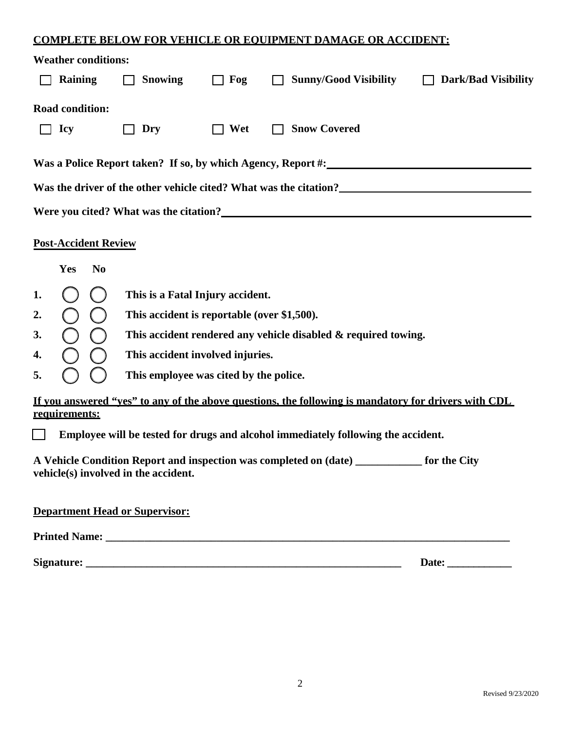## **COMPLETE BELOW FOR VEHICLE OR EQUIPMENT DAMAGE OR ACCIDENT:**

|                                                                                                                                                              | <b>Weather conditions:</b>  |                                             |     |  |                                                                                                      |                            |  |
|--------------------------------------------------------------------------------------------------------------------------------------------------------------|-----------------------------|---------------------------------------------|-----|--|------------------------------------------------------------------------------------------------------|----------------------------|--|
|                                                                                                                                                              | <b>Raining</b>              | <b>Snowing</b>                              | Fog |  | <b>Sunny/Good Visibility</b>                                                                         | <b>Dark/Bad Visibility</b> |  |
|                                                                                                                                                              | <b>Road condition:</b>      |                                             |     |  |                                                                                                      |                            |  |
|                                                                                                                                                              | <b>Icy</b>                  | Dry                                         | Wet |  | <b>Snow Covered</b>                                                                                  |                            |  |
|                                                                                                                                                              |                             |                                             |     |  | Was a Police Report taken? If so, by which Agency, Report #:                                         |                            |  |
| Was the driver of the other vehicle cited? What was the citation?<br><u>Letter and the set of the set of the other vehicle</u> cited? What was the citation? |                             |                                             |     |  |                                                                                                      |                            |  |
| Were you cited? What was the citation?                                                                                                                       |                             |                                             |     |  |                                                                                                      |                            |  |
|                                                                                                                                                              | <b>Post-Accident Review</b> |                                             |     |  |                                                                                                      |                            |  |
|                                                                                                                                                              | Yes<br>N <sub>0</sub>       |                                             |     |  |                                                                                                      |                            |  |
| 1.                                                                                                                                                           |                             | This is a Fatal Injury accident.            |     |  |                                                                                                      |                            |  |
| 2.                                                                                                                                                           |                             | This accident is reportable (over \$1,500). |     |  |                                                                                                      |                            |  |
| 3.                                                                                                                                                           | $\overline{C}$              |                                             |     |  | This accident rendered any vehicle disabled & required towing.                                       |                            |  |
| 4.                                                                                                                                                           |                             | This accident involved injuries.            |     |  |                                                                                                      |                            |  |
| 5.                                                                                                                                                           | C                           | This employee was cited by the police.      |     |  |                                                                                                      |                            |  |
|                                                                                                                                                              | requirements:               |                                             |     |  | If you answered "ves" to any of the above questions, the following is mandatory for drivers with CDL |                            |  |
|                                                                                                                                                              |                             |                                             |     |  | Employee will be tested for drugs and alcohol immediately following the accident.                    |                            |  |
|                                                                                                                                                              |                             | vehicle(s) involved in the accident.        |     |  | A Vehicle Condition Report and inspection was completed on (date) ___________ for the City           |                            |  |
|                                                                                                                                                              |                             | <b>Department Head or Supervisor:</b>       |     |  |                                                                                                      |                            |  |
|                                                                                                                                                              |                             |                                             |     |  |                                                                                                      |                            |  |
|                                                                                                                                                              |                             |                                             |     |  |                                                                                                      |                            |  |